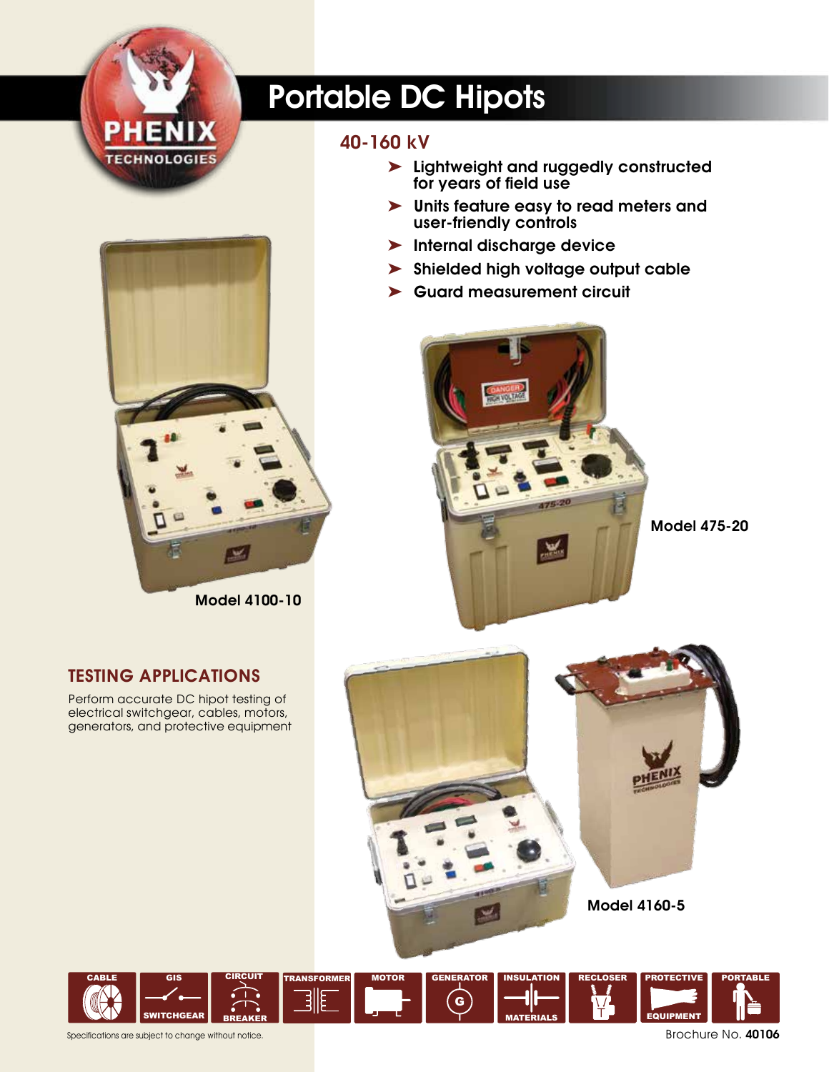

# Portable DC Hipots

## 40-160 kV

- ➤ Lightweight and ruggedly constructed for years of field use
- ➤ Units feature easy to read meters and user-friendly controls
- ➤ Internal discharge device
- ➤ Shielded high voltage output cable
- ➤ Guard measurement circuit



Model 475-20



Model 4100-10

### Testing Applications

Perform accurate DC hipot testing of electrical switchgear, cables, motors, generators, and protective equipment



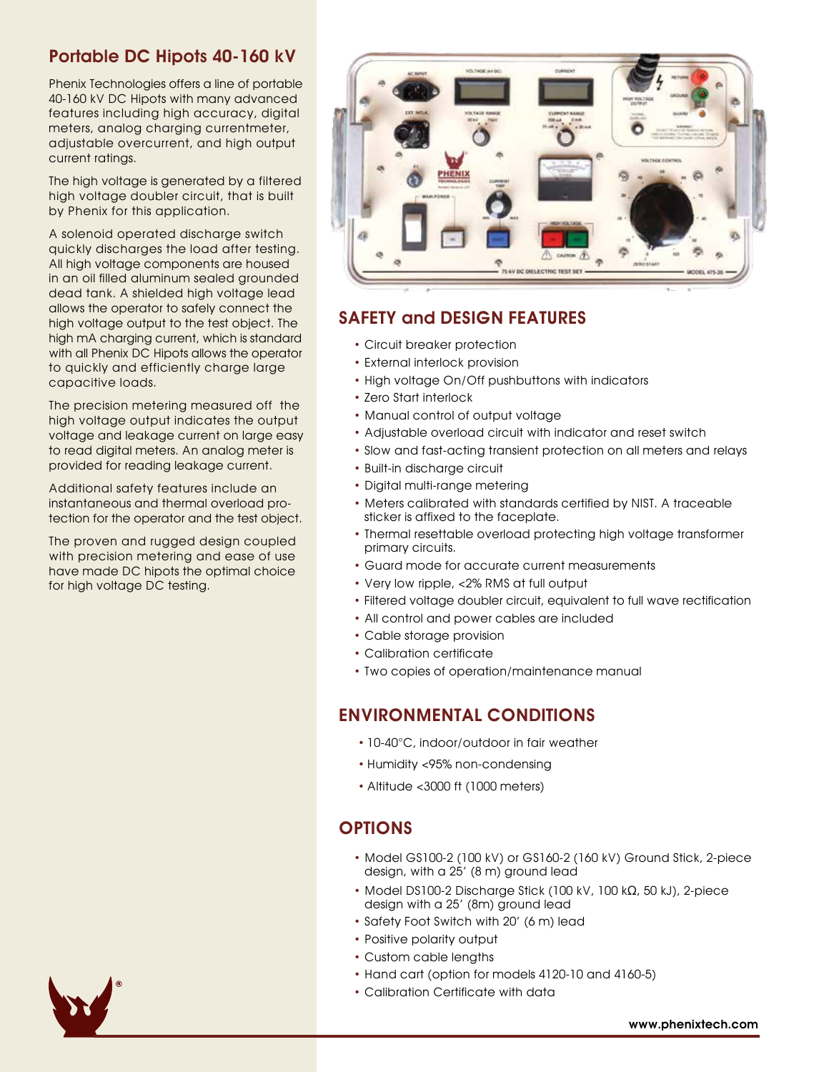#### Portable DC Hipots 40-160 kV

Phenix Technologies offers a line of portable 40-160 kV DC Hipots with many advanced features including high accuracy, digital meters, analog charging currentmeter, adjustable overcurrent, and high output current ratings.

The high voltage is generated by a filtered high voltage doubler circuit, that is built by Phenix for this application.

A solenoid operated discharge switch quickly discharges the load after testing. All high voltage components are housed in an oil filled aluminum sealed grounded dead tank. A shielded high voltage lead allows the operator to safely connect the high voltage output to the test object. The high mA charging current, which is standard with all Phenix DC Hipots allows the operator to quickly and efficiently charge large capacitive loads.

The precision metering measured off the high voltage output indicates the output voltage and leakage current on large easy to read digital meters. An analog meter is provided for reading leakage current.

Additional safety features include an instantaneous and thermal overload protection for the operator and the test object.

The proven and rugged design coupled with precision metering and ease of use have made DC hipots the optimal choice for high voltage DC testing.



#### SAFETY and DESIGN FEATURES

- Circuit breaker protection
- External interlock provision
- High voltage On/Off pushbuttons with indicators
- Zero Start interlock
- Manual control of output voltage
- Adjustable overload circuit with indicator and reset switch
- Slow and fast-acting transient protection on all meters and relays
- Built-in discharge circuit
- Digital multi-range metering
- Meters calibrated with standards certified by NIST. A traceable sticker is affixed to the faceplate.
- Thermal resettable overload protecting high voltage transformer primary circuits.
- Guard mode for accurate current measurements
- Very low ripple, <2% RMS at full output
- Filtered voltage doubler circuit, equivalent to full wave rectification
- All control and power cables are included
- Cable storage provision
- Calibration certificate
- Two copies of operation/maintenance manual

### ENVIRONMENTAL CONDITIONS

- 10-40°C, indoor/outdoor in fair weather
- Humidity <95% non-condensing
- Altitude <3000 ft (1000 meters)

#### **OPTIONS**

- Model GS100-2 (100 kV) or GS160-2 (160 kV) Ground Stick, 2-piece design, with a 25' (8 m) ground lead
- Model DS100-2 Discharge Stick (100 kV, 100 kΩ, 50 kJ), 2-piece design with a 25' (8m) ground lead
- Safety Foot Switch with 20' (6 m) lead
- Positive polarity output
- Custom cable lengths
- Hand cart (option for models 4120-10 and 4160-5)
- Calibration Certificate with data

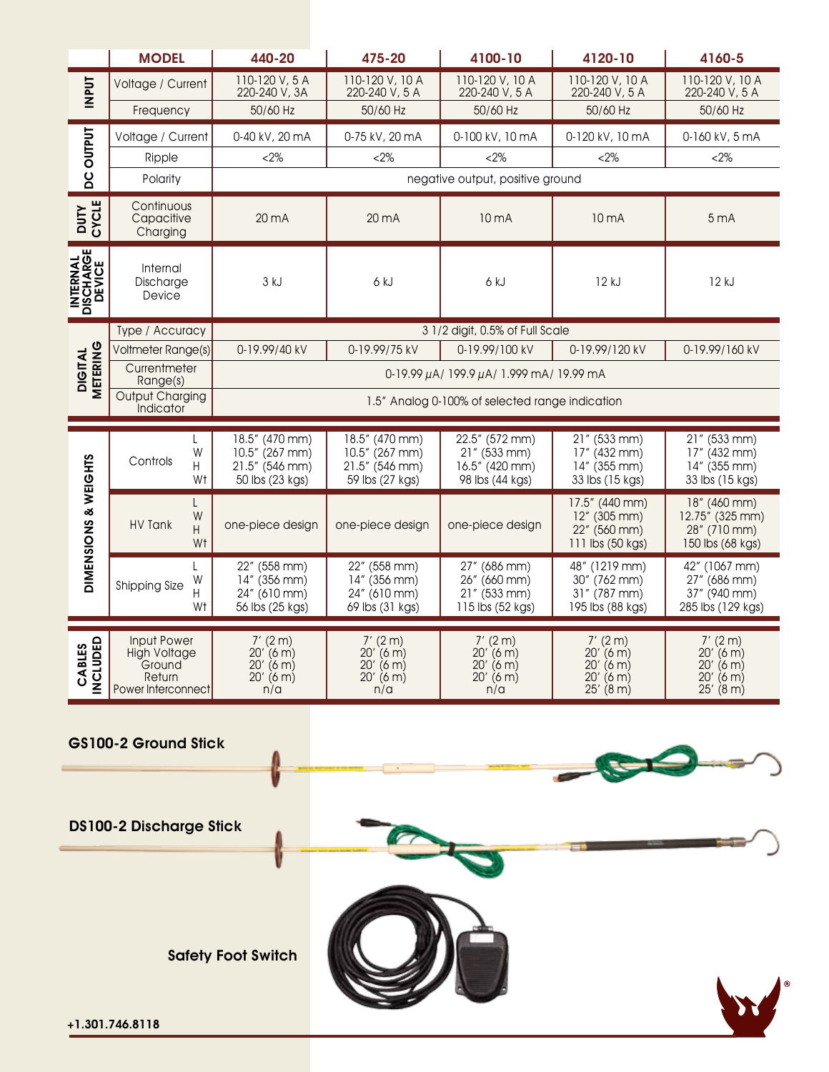|                                                | <b>MODEL</b>                                                                        | 440-20                                                          | 475-20                                                          | 4100-10                                                             | 4120-10                                                               | 4160-5                                                               |
|------------------------------------------------|-------------------------------------------------------------------------------------|-----------------------------------------------------------------|-----------------------------------------------------------------|---------------------------------------------------------------------|-----------------------------------------------------------------------|----------------------------------------------------------------------|
| <b>INPUT</b>                                   | Voltage / Current                                                                   | 110-120 V, 5 A<br>220-240 V, 3A                                 | 110-120 V, 10 A<br>220-240 V, 5 A                               | 110-120 V, 10 A<br>220-240 V, 5 A                                   | 110-120 V, 10 A<br>220-240 V, 5 A                                     | 110-120 V, 10 A<br>220-240 V, 5 A                                    |
|                                                | Frequency                                                                           | 50/60 Hz                                                        | 50/60 Hz                                                        | 50/60 Hz                                                            | 50/60 Hz                                                              | 50/60 Hz                                                             |
| <b>OUTPUT</b>                                  | Voltage / Current                                                                   | 0-40 kV, 20 mA                                                  | 0-75 kV, 20 mA                                                  | 0-100 kV, 10 mA                                                     | 0-120 kV, 10 mA                                                       | 0-160 kV, 5 mA                                                       |
|                                                | Ripple                                                                              | $<2\%$                                                          | $&2\%$                                                          | $&2\%$                                                              | $<2\%$                                                                | $<2\%$                                                               |
| ပ္မွ                                           | Polarity                                                                            | negative output, positive ground                                |                                                                 |                                                                     |                                                                       |                                                                      |
| CYCLE<br><b>DUTY</b>                           | Continuous<br>Capacitive<br>Charging                                                | $20 \text{ mA}$                                                 | $20 \text{ mA}$                                                 | 10 <sub>m</sub> A                                                   | 10 mA                                                                 | 5 <sub>mA</sub>                                                      |
| DISCHARGE<br>DEVICE<br><b>INTERNAL</b>         | Internal<br>Discharge<br>Device                                                     | 3 kJ                                                            | 6 kJ                                                            | 6 kJ                                                                | 12 kJ                                                                 | 12 kJ                                                                |
| METERING<br><b>DIGITAL</b>                     | Type / Accuracy                                                                     |                                                                 |                                                                 | 3 1/2 digit, 0.5% of Full Scale                                     |                                                                       |                                                                      |
|                                                | Voltmeter Range(s)                                                                  | 0-19.99/40 kV                                                   | 0-19.99/75 kV                                                   | 0-19.99/100 kV                                                      | 0-19.99/120 kV                                                        | 0-19.99/160 kV                                                       |
|                                                | Currentmeter<br>Range(s)                                                            | 0-19.99 μA/ 199.9 μA/ 1.999 mA/ 19.99 mA                        |                                                                 |                                                                     |                                                                       |                                                                      |
|                                                | <b>Output Charging</b><br>Indicator                                                 | 1.5" Analog 0-100% of selected range indication                 |                                                                 |                                                                     |                                                                       |                                                                      |
|                                                | L                                                                                   | 18.5" (470 mm)                                                  | 18.5" (470 mm)                                                  | 22.5" (572 mm)                                                      | 21" (533 mm)                                                          | 21" (533 mm)                                                         |
| DIMENSIONS & WEIGHTS                           | W<br>Controls<br>H<br>Wt                                                            | 10.5" (267 mm)<br>21.5" (546 mm)<br>50 lbs (23 kgs)             | 10.5" (267 mm)<br>21.5" (546 mm)<br>59 lbs (27 kgs)             | $21''$ (533 mm)<br>16.5" (420 mm)<br>98 lbs (44 kgs)                | 17" (432 mm)<br>14" (355 mm)<br>33 lbs (15 kgs)                       | 17" (432 mm)<br>14" (355 mm)<br>33 lbs (15 kgs)                      |
|                                                | W<br><b>HV Tank</b><br>Н<br>W <sub>t</sub>                                          | one-piece design                                                | one-piece design                                                | one-piece design                                                    | 17.5" (440 mm)<br>$12''$ (305 mm)<br>22" (560 mm)<br>111 lbs (50 kgs) | 18" (460 mm)<br>12.75" (325 mm)<br>28" (710 mm)<br>150 lbs (68 kgs)  |
|                                                | L<br>W<br>Shipping Size<br>Н<br>Wt                                                  | 22" (558 mm)<br>14" (356 mm)<br>24" (610 mm)<br>56 lbs (25 kgs) | 22" (558 mm)<br>14" (356 mm)<br>24" (610 mm)<br>69 lbs (31 kgs) | 27" (686 mm)<br>26" (660 mm)<br>$21''$ (533 mm)<br>115 lbs (52 kgs) | 48" (1219 mm)<br>30" (762 mm)<br>31" (787 mm)<br>195 lbs (88 kgs)     | 42" (1067 mm)<br>27" (686 mm)<br>37" (940 mm)<br>285 lbs (129 kgs)   |
| $\mathbf{\Omega}$<br><b>CABLES</b><br>INCLUDEI | <b>Input Power</b><br><b>High Voltage</b><br>Ground<br>Return<br>Power Interconnect | $7'$ (2 m)<br>$20'$ (6 m)<br>$20'$ (6 m)<br>$20'$ (6 m)<br>n/a  | $7'$ (2 m)<br>$20'$ (6 m)<br>$20'$ (6 m)<br>$20'$ (6 m)<br>n/a  | $7'$ (2 m)<br>20' (6 m)<br>$20'$ (6 m)<br>$20'$ (6 m)<br>n/a        | $7'$ (2 m)<br>20' (6 m)<br>$20'$ (6 m)<br>$20'$ (6 m)<br>$25'$ (8 m)  | $7'$ (2 m)<br>20' (6 m)<br>$20'$ (6 m)<br>$20'$ (6 m)<br>$25'$ (8 m) |
| GS100-2 Ground Stick                           |                                                                                     |                                                                 |                                                                 |                                                                     |                                                                       |                                                                      |
| <b>DS100-2 Discharge Stick</b>                 |                                                                                     |                                                                 |                                                                 |                                                                     |                                                                       |                                                                      |